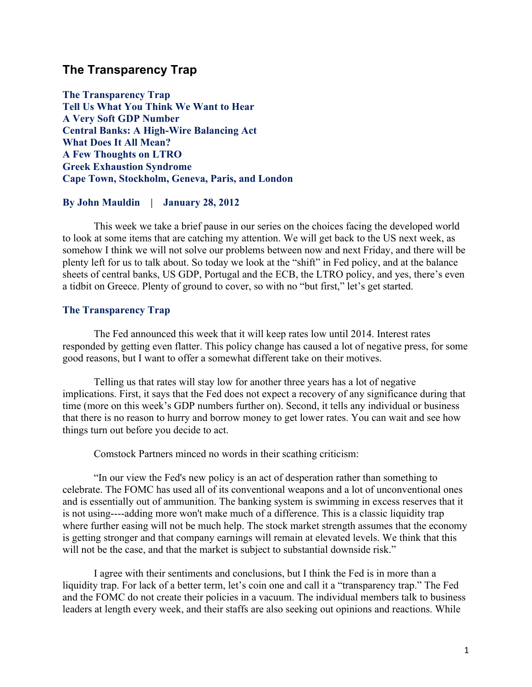# **The Transparency Trap**

**The Transparency Trap Tell Us What You Think We Want to Hear A Very Soft GDP Number Central Banks: A High-Wire Balancing Act What Does It All Mean? A Few Thoughts on LTRO Greek Exhaustion Syndrome Cape Town, Stockholm, Geneva, Paris, and London**

#### **By John Mauldin | January 28, 2012**

This week we take a brief pause in our series on the choices facing the developed world to look at some items that are catching my attention. We will get back to the US next week, as somehow I think we will not solve our problems between now and next Friday, and there will be plenty left for us to talk about. So today we look at the "shift" in Fed policy, and at the balance sheets of central banks, US GDP, Portugal and the ECB, the LTRO policy, and yes, there's even a tidbit on Greece. Plenty of ground to cover, so with no "but first," let's get started.

#### **The Transparency Trap**

The Fed announced this week that it will keep rates low until 2014. Interest rates responded by getting even flatter. This policy change has caused a lot of negative press, for some good reasons, but I want to offer a somewhat different take on their motives.

Telling us that rates will stay low for another three years has a lot of negative implications. First, it says that the Fed does not expect a recovery of any significance during that time (more on this week's GDP numbers further on). Second, it tells any individual or business that there is no reason to hurry and borrow money to get lower rates. You can wait and see how things turn out before you decide to act.

Comstock Partners minced no words in their scathing criticism:

"In our view the Fed's new policy is an act of desperation rather than something to celebrate. The FOMC has used all of its conventional weapons and a lot of unconventional ones and is essentially out of ammunition. The banking system is swimming in excess reserves that it is not using----adding more won't make much of a difference. This is a classic liquidity trap where further easing will not be much help. The stock market strength assumes that the economy is getting stronger and that company earnings will remain at elevated levels. We think that this will not be the case, and that the market is subject to substantial downside risk."

I agree with their sentiments and conclusions, but I think the Fed is in more than a liquidity trap. For lack of a better term, let's coin one and call it a "transparency trap." The Fed and the FOMC do not create their policies in a vacuum. The individual members talk to business leaders at length every week, and their staffs are also seeking out opinions and reactions. While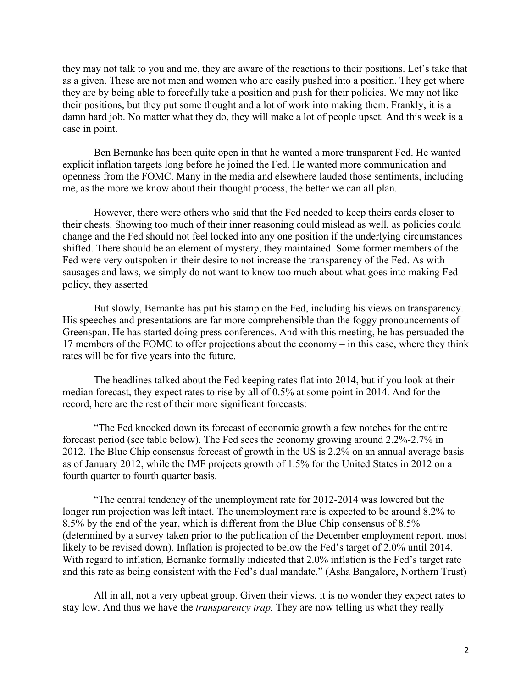they may not talk to you and me, they are aware of the reactions to their positions. Let's take that as a given. These are not men and women who are easily pushed into a position. They get where they are by being able to forcefully take a position and push for their policies. We may not like their positions, but they put some thought and a lot of work into making them. Frankly, it is a damn hard job. No matter what they do, they will make a lot of people upset. And this week is a case in point.

Ben Bernanke has been quite open in that he wanted a more transparent Fed. He wanted explicit inflation targets long before he joined the Fed. He wanted more communication and openness from the FOMC. Many in the media and elsewhere lauded those sentiments, including me, as the more we know about their thought process, the better we can all plan.

However, there were others who said that the Fed needed to keep theirs cards closer to their chests. Showing too much of their inner reasoning could mislead as well, as policies could change and the Fed should not feel locked into any one position if the underlying circumstances shifted. There should be an element of mystery, they maintained. Some former members of the Fed were very outspoken in their desire to not increase the transparency of the Fed. As with sausages and laws, we simply do not want to know too much about what goes into making Fed policy, they asserted

But slowly, Bernanke has put his stamp on the Fed, including his views on transparency. His speeches and presentations are far more comprehensible than the foggy pronouncements of Greenspan. He has started doing press conferences. And with this meeting, he has persuaded the 17 members of the FOMC to offer projections about the economy – in this case, where they think rates will be for five years into the future.

The headlines talked about the Fed keeping rates flat into 2014, but if you look at their median forecast, they expect rates to rise by all of 0.5% at some point in 2014. And for the record, here are the rest of their more significant forecasts:

"The Fed knocked down its forecast of economic growth a few notches for the entire forecast period (see table below). The Fed sees the economy growing around 2.2%-2.7% in 2012. The Blue Chip consensus forecast of growth in the US is 2.2% on an annual average basis as of January 2012, while the IMF projects growth of 1.5% for the United States in 2012 on a fourth quarter to fourth quarter basis.

"The central tendency of the unemployment rate for 2012-2014 was lowered but the longer run projection was left intact. The unemployment rate is expected to be around 8.2% to 8.5% by the end of the year, which is different from the Blue Chip consensus of 8.5% (determined by a survey taken prior to the publication of the December employment report, most likely to be revised down). Inflation is projected to below the Fed's target of 2.0% until 2014. With regard to inflation, Bernanke formally indicated that 2.0% inflation is the Fed's target rate and this rate as being consistent with the Fed's dual mandate." (Asha Bangalore, Northern Trust)

All in all, not a very upbeat group. Given their views, it is no wonder they expect rates to stay low. And thus we have the *transparency trap.* They are now telling us what they really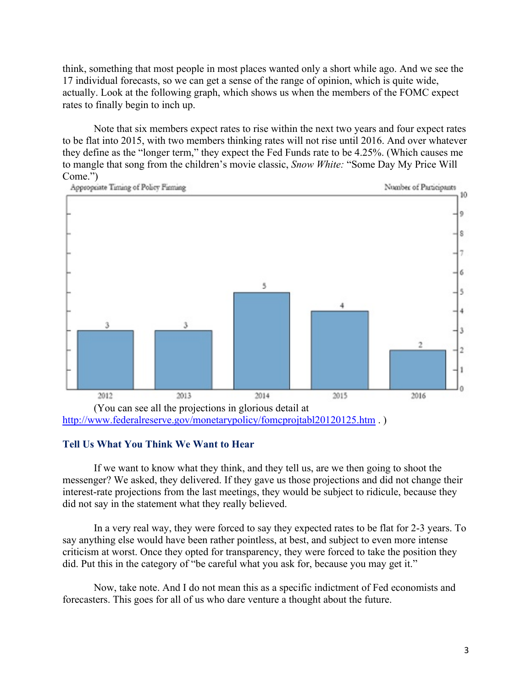think, something that most people in most places wanted only a short while ago. And we see the 17 individual forecasts, so we can get a sense of the range of opinion, which is quite wide, actually. Look at the following graph, which shows us when the members of the FOMC expect rates to finally begin to inch up.

Note that six members expect rates to rise within the next two years and four expect rates to be flat into 2015, with two members thinking rates will not rise until 2016. And over whatever they define as the "longer term," they expect the Fed Funds rate to be 4.25%. (Which causes me to mangle that song from the children's movie classic, *Snow White:* "Some Day My Price Will Come.")



#### **Tell Us What You Think We Want to Hear**

If we want to know what they think, and they tell us, are we then going to shoot the messenger? We asked, they delivered. If they gave us those projections and did not change their interest-rate projections from the last meetings, they would be subject to ridicule, because they did not say in the statement what they really believed.

In a very real way, they were forced to say they expected rates to be flat for 2-3 years. To say anything else would have been rather pointless, at best, and subject to even more intense criticism at worst. Once they opted for transparency, they were forced to take the position they did. Put this in the category of "be careful what you ask for, because you may get it."

Now, take note. And I do not mean this as a specific indictment of Fed economists and forecasters. This goes for all of us who dare venture a thought about the future.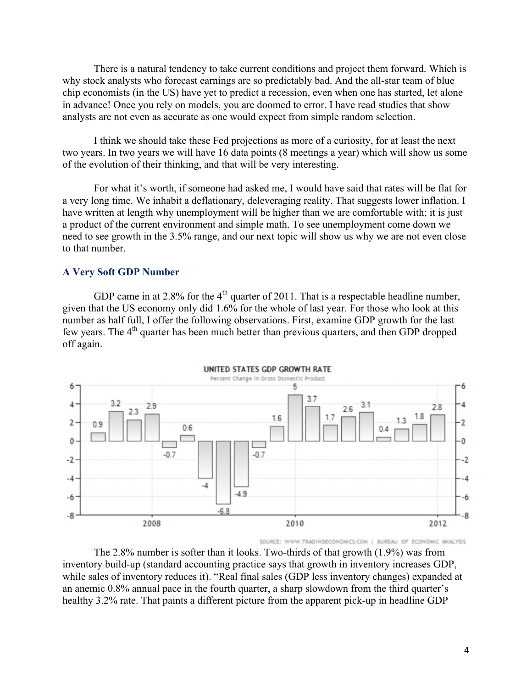There is a natural tendency to take current conditions and project them forward. Which is why stock analysts who forecast earnings are so predictably bad. And the all-star team of blue chip economists (in the US) have yet to predict a recession, even when one has started, let alone in advance! Once you rely on models, you are doomed to error. I have read studies that show analysts are not even as accurate as one would expect from simple random selection.

I think we should take these Fed projections as more of a curiosity, for at least the next two years. In two years we will have 16 data points (8 meetings a year) which will show us some of the evolution of their thinking, and that will be very interesting.

For what it's worth, if someone had asked me, I would have said that rates will be flat for a very long time. We inhabit a deflationary, deleveraging reality. That suggests lower inflation. I have written at length why unemployment will be higher than we are comfortable with; it is just a product of the current environment and simple math. To see unemployment come down we need to see growth in the 3.5% range, and our next topic will show us why we are not even close to that number.

#### **A Very Soft GDP Number**

GDP came in at 2.8% for the  $4<sup>th</sup>$  quarter of 2011. That is a respectable headline number, given that the US economy only did 1.6% for the whole of last year. For those who look at this number as half full, I offer the following observations. First, examine GDP growth for the last few vears. The 4<sup>th</sup> quarter has been much better than previous quarters, and then GDP dropped off again.



SOURCE: WWW.TRADINGECONOMICS.COM | BUREAU OF ECONOMIC ANALYSIS

The 2.8% number is softer than it looks. Two-thirds of that growth (1.9%) was from inventory build-up (standard accounting practice says that growth in inventory increases GDP, while sales of inventory reduces it). "Real final sales (GDP less inventory changes) expanded at an anemic 0.8% annual pace in the fourth quarter, a sharp slowdown from the third quarter's healthy 3.2% rate. That paints a different picture from the apparent pick-up in headline GDP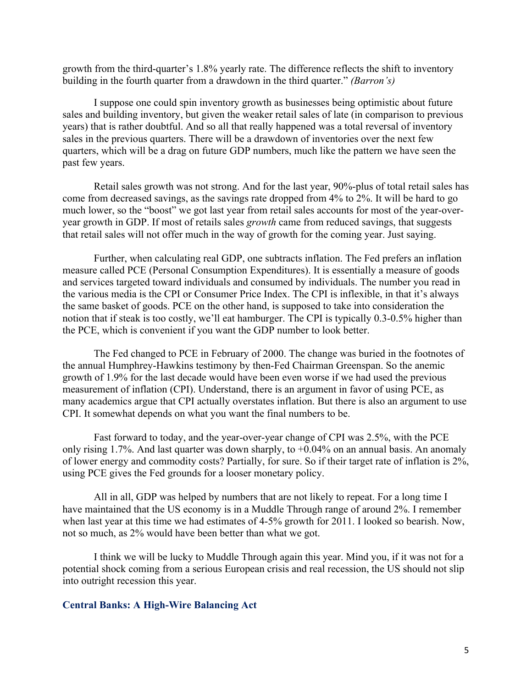growth from the third-quarter's 1.8% yearly rate. The difference reflects the shift to inventory building in the fourth quarter from a drawdown in the third quarter." *(Barron's)*

I suppose one could spin inventory growth as businesses being optimistic about future sales and building inventory, but given the weaker retail sales of late (in comparison to previous years) that is rather doubtful. And so all that really happened was a total reversal of inventory sales in the previous quarters. There will be a drawdown of inventories over the next few quarters, which will be a drag on future GDP numbers, much like the pattern we have seen the past few years.

Retail sales growth was not strong. And for the last year, 90%-plus of total retail sales has come from decreased savings, as the savings rate dropped from 4% to 2%. It will be hard to go much lower, so the "boost" we got last year from retail sales accounts for most of the year-overyear growth in GDP. If most of retails sales *growth* came from reduced savings, that suggests that retail sales will not offer much in the way of growth for the coming year. Just saying.

Further, when calculating real GDP, one subtracts inflation. The Fed prefers an inflation measure called PCE (Personal Consumption Expenditures). It is essentially a measure of goods and services targeted toward individuals and consumed by individuals. The number you read in the various media is the CPI or Consumer Price Index. The CPI is inflexible, in that it's always the same basket of goods. PCE on the other hand, is supposed to take into consideration the notion that if steak is too costly, we'll eat hamburger. The CPI is typically 0.3-0.5% higher than the PCE, which is convenient if you want the GDP number to look better.

The Fed changed to PCE in February of 2000. The change was buried in the footnotes of the annual Humphrey-Hawkins testimony by then-Fed Chairman Greenspan. So the anemic growth of 1.9% for the last decade would have been even worse if we had used the previous measurement of inflation (CPI). Understand, there is an argument in favor of using PCE, as many academics argue that CPI actually overstates inflation. But there is also an argument to use CPI. It somewhat depends on what you want the final numbers to be.

Fast forward to today, and the year-over-year change of CPI was 2.5%, with the PCE only rising 1.7%. And last quarter was down sharply, to  $+0.04\%$  on an annual basis. An anomaly of lower energy and commodity costs? Partially, for sure. So if their target rate of inflation is 2%, using PCE gives the Fed grounds for a looser monetary policy.

All in all, GDP was helped by numbers that are not likely to repeat. For a long time I have maintained that the US economy is in a Muddle Through range of around 2%. I remember when last year at this time we had estimates of 4-5% growth for 2011. I looked so bearish. Now, not so much, as 2% would have been better than what we got.

I think we will be lucky to Muddle Through again this year. Mind you, if it was not for a potential shock coming from a serious European crisis and real recession, the US should not slip into outright recession this year.

#### **Central Banks: A High-Wire Balancing Act**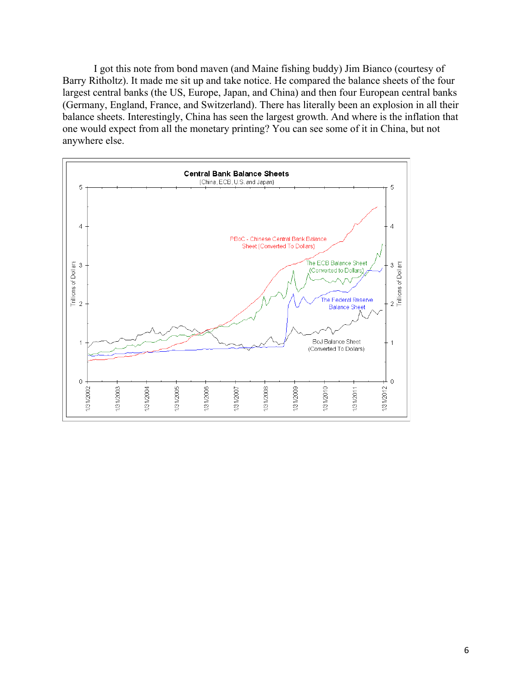I got this note from bond maven (and Maine fishing buddy) Jim Bianco (courtesy of Barry Ritholtz). It made me sit up and take notice. He compared the balance sheets of the four largest central banks (the US, Europe, Japan, and China) and then four European central banks (Germany, England, France, and Switzerland). There has literally been an explosion in all their balance sheets. Interestingly, China has seen the largest growth. And where is the inflation that one would expect from all the monetary printing? You can see some of it in China, but not anywhere else.

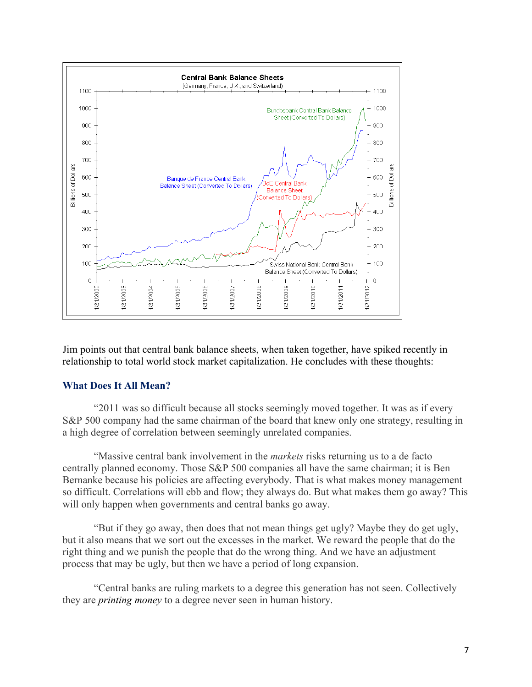

Jim points out that central bank balance sheets, when taken together, have spiked recently in relationship to total world stock market capitalization. He concludes with these thoughts:

## **What Does It All Mean?**

"2011 was so difficult because all stocks seemingly moved together. It was as if every S&P 500 company had the same chairman of the board that knew only one strategy, resulting in a high degree of correlation between seemingly unrelated companies.

"Massive central bank involvement in the *markets* risks returning us to a de facto centrally planned economy. Those S&P 500 companies all have the same chairman; it is Ben Bernanke because his policies are affecting everybody. That is what makes money management so difficult. Correlations will ebb and flow; they always do. But what makes them go away? This will only happen when governments and central banks go away.

"But if they go away, then does that not mean things get ugly? Maybe they do get ugly, but it also means that we sort out the excesses in the market. We reward the people that do the right thing and we punish the people that do the wrong thing. And we have an adjustment process that may be ugly, but then we have a period of long expansion.

"Central banks are ruling markets to a degree this generation has not seen. Collectively they are *printing money* to a degree never seen in human history.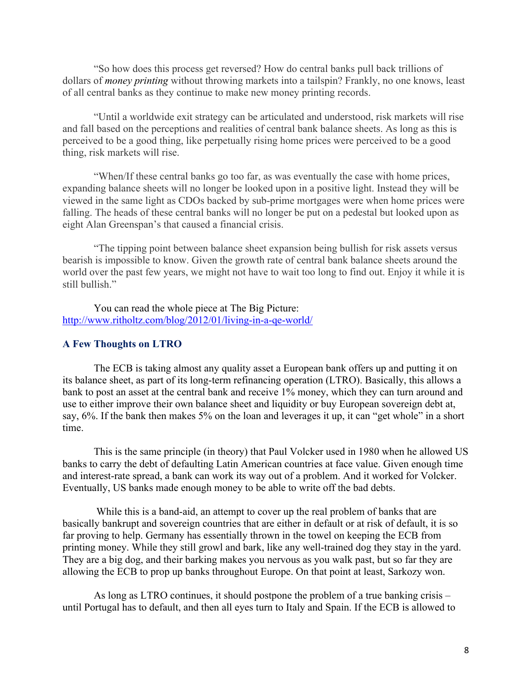"So how does this process get reversed? How do central banks pull back trillions of dollars of *money printing* without throwing markets into a tailspin? Frankly, no one knows, least of all central banks as they continue to make new money printing records.

"Until a worldwide exit strategy can be articulated and understood, risk markets will rise and fall based on the perceptions and realities of central bank balance sheets. As long as this is perceived to be a good thing, like perpetually rising home prices were perceived to be a good thing, risk markets will rise.

"When/If these central banks go too far, as was eventually the case with home prices, expanding balance sheets will no longer be looked upon in a positive light. Instead they will be viewed in the same light as CDOs backed by sub-prime mortgages were when home prices were falling. The heads of these central banks will no longer be put on a pedestal but looked upon as eight Alan Greenspan's that caused a financial crisis.

"The tipping point between balance sheet expansion being bullish for risk assets versus bearish is impossible to know. Given the growth rate of central bank balance sheets around the world over the past few years, we might not have to wait too long to find out. Enjoy it while it is still bullish"

You can read the whole piece at The Big Picture: http://www.ritholtz.com/blog/2012/01/living-in-a-qe-world/

### **A Few Thoughts on LTRO**

The ECB is taking almost any quality asset a European bank offers up and putting it on its balance sheet, as part of its long-term refinancing operation (LTRO). Basically, this allows a bank to post an asset at the central bank and receive 1% money, which they can turn around and use to either improve their own balance sheet and liquidity or buy European sovereign debt at, say, 6%. If the bank then makes 5% on the loan and leverages it up, it can "get whole" in a short time.

This is the same principle (in theory) that Paul Volcker used in 1980 when he allowed US banks to carry the debt of defaulting Latin American countries at face value. Given enough time and interest-rate spread, a bank can work its way out of a problem. And it worked for Volcker. Eventually, US banks made enough money to be able to write off the bad debts.

While this is a band-aid, an attempt to cover up the real problem of banks that are basically bankrupt and sovereign countries that are either in default or at risk of default, it is so far proving to help. Germany has essentially thrown in the towel on keeping the ECB from printing money. While they still growl and bark, like any well-trained dog they stay in the yard. They are a big dog, and their barking makes you nervous as you walk past, but so far they are allowing the ECB to prop up banks throughout Europe. On that point at least, Sarkozy won.

As long as LTRO continues, it should postpone the problem of a true banking crisis – until Portugal has to default, and then all eyes turn to Italy and Spain. If the ECB is allowed to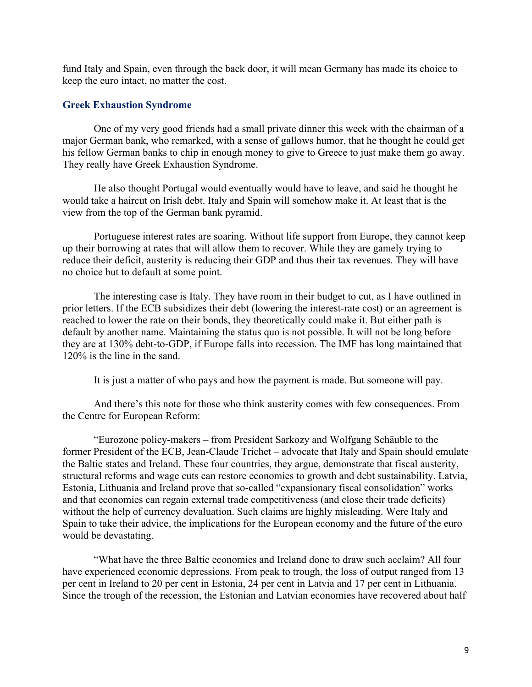fund Italy and Spain, even through the back door, it will mean Germany has made its choice to keep the euro intact, no matter the cost.

#### **Greek Exhaustion Syndrome**

One of my very good friends had a small private dinner this week with the chairman of a major German bank, who remarked, with a sense of gallows humor, that he thought he could get his fellow German banks to chip in enough money to give to Greece to just make them go away. They really have Greek Exhaustion Syndrome.

He also thought Portugal would eventually would have to leave, and said he thought he would take a haircut on Irish debt. Italy and Spain will somehow make it. At least that is the view from the top of the German bank pyramid.

Portuguese interest rates are soaring. Without life support from Europe, they cannot keep up their borrowing at rates that will allow them to recover. While they are gamely trying to reduce their deficit, austerity is reducing their GDP and thus their tax revenues. They will have no choice but to default at some point.

The interesting case is Italy. They have room in their budget to cut, as I have outlined in prior letters. If the ECB subsidizes their debt (lowering the interest-rate cost) or an agreement is reached to lower the rate on their bonds, they theoretically could make it. But either path is default by another name. Maintaining the status quo is not possible. It will not be long before they are at 130% debt-to-GDP, if Europe falls into recession. The IMF has long maintained that 120% is the line in the sand.

It is just a matter of who pays and how the payment is made. But someone will pay.

And there's this note for those who think austerity comes with few consequences. From the Centre for European Reform:

"Eurozone policy-makers – from President Sarkozy and Wolfgang Schäuble to the former President of the ECB, Jean-Claude Trichet – advocate that Italy and Spain should emulate the Baltic states and Ireland. These four countries, they argue, demonstrate that fiscal austerity, structural reforms and wage cuts can restore economies to growth and debt sustainability. Latvia, Estonia, Lithuania and Ireland prove that so-called "expansionary fiscal consolidation" works and that economies can regain external trade competitiveness (and close their trade deficits) without the help of currency devaluation. Such claims are highly misleading. Were Italy and Spain to take their advice, the implications for the European economy and the future of the euro would be devastating.

"What have the three Baltic economies and Ireland done to draw such acclaim? All four have experienced economic depressions. From peak to trough, the loss of output ranged from 13 per cent in Ireland to 20 per cent in Estonia, 24 per cent in Latvia and 17 per cent in Lithuania. Since the trough of the recession, the Estonian and Latvian economies have recovered about half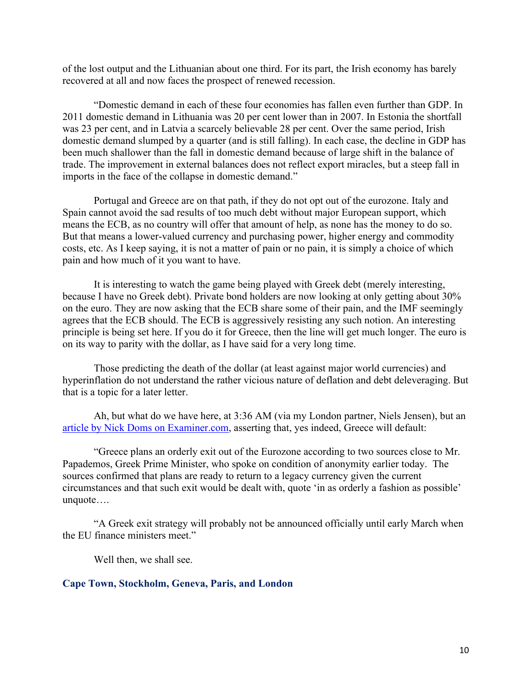of the lost output and the Lithuanian about one third. For its part, the Irish economy has barely recovered at all and now faces the prospect of renewed recession.

"Domestic demand in each of these four economies has fallen even further than GDP. In 2011 domestic demand in Lithuania was 20 per cent lower than in 2007. In Estonia the shortfall was 23 per cent, and in Latvia a scarcely believable 28 per cent. Over the same period, Irish domestic demand slumped by a quarter (and is still falling). In each case, the decline in GDP has been much shallower than the fall in domestic demand because of large shift in the balance of trade. The improvement in external balances does not reflect export miracles, but a steep fall in imports in the face of the collapse in domestic demand."

Portugal and Greece are on that path, if they do not opt out of the eurozone. Italy and Spain cannot avoid the sad results of too much debt without major European support, which means the ECB, as no country will offer that amount of help, as none has the money to do so. But that means a lower-valued currency and purchasing power, higher energy and commodity costs, etc. As I keep saying, it is not a matter of pain or no pain, it is simply a choice of which pain and how much of it you want to have.

It is interesting to watch the game being played with Greek debt (merely interesting, because I have no Greek debt). Private bond holders are now looking at only getting about 30% on the euro. They are now asking that the ECB share some of their pain, and the IMF seemingly agrees that the ECB should. The ECB is aggressively resisting any such notion. An interesting principle is being set here. If you do it for Greece, then the line will get much longer. The euro is on its way to parity with the dollar, as I have said for a very long time.

Those predicting the death of the dollar (at least against major world currencies) and hyperinflation do not understand the rather vicious nature of deflation and debt deleveraging. But that is a topic for a later letter.

Ah, but what do we have here, at 3:36 AM (via my London partner, Niels Jensen), but an article by Nick Doms on Examiner.com, asserting that, yes indeed, Greece will default:

"Greece plans an orderly exit out of the Eurozone according to two sources close to Mr. Papademos, Greek Prime Minister, who spoke on condition of anonymity earlier today. The sources confirmed that plans are ready to return to a legacy currency given the current circumstances and that such exit would be dealt with, quote 'in as orderly a fashion as possible' unquote….

"A Greek exit strategy will probably not be announced officially until early March when the EU finance ministers meet."

Well then, we shall see.

#### **Cape Town, Stockholm, Geneva, Paris, and London**